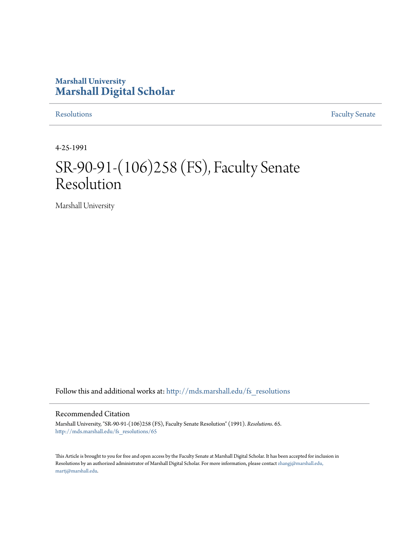# **Marshall University [Marshall Digital Scholar](http://mds.marshall.edu?utm_source=mds.marshall.edu%2Ffs_resolutions%2F65&utm_medium=PDF&utm_campaign=PDFCoverPages)**

[Resolutions](http://mds.marshall.edu/fs_resolutions?utm_source=mds.marshall.edu%2Ffs_resolutions%2F65&utm_medium=PDF&utm_campaign=PDFCoverPages) [Faculty Senate](http://mds.marshall.edu/fs?utm_source=mds.marshall.edu%2Ffs_resolutions%2F65&utm_medium=PDF&utm_campaign=PDFCoverPages)

4-25-1991

# SR-90-91-(106)258 (FS), Faculty Senate Resolution

Marshall University

Follow this and additional works at: [http://mds.marshall.edu/fs\\_resolutions](http://mds.marshall.edu/fs_resolutions?utm_source=mds.marshall.edu%2Ffs_resolutions%2F65&utm_medium=PDF&utm_campaign=PDFCoverPages)

#### Recommended Citation

Marshall University, "SR-90-91-(106)258 (FS), Faculty Senate Resolution" (1991). *Resolutions*. 65. [http://mds.marshall.edu/fs\\_resolutions/65](http://mds.marshall.edu/fs_resolutions/65?utm_source=mds.marshall.edu%2Ffs_resolutions%2F65&utm_medium=PDF&utm_campaign=PDFCoverPages)

This Article is brought to you for free and open access by the Faculty Senate at Marshall Digital Scholar. It has been accepted for inclusion in Resolutions by an authorized administrator of Marshall Digital Scholar. For more information, please contact [zhangj@marshall.edu,](mailto:zhangj@marshall.edu,%20martj@marshall.edu) [martj@marshall.edu](mailto:zhangj@marshall.edu,%20martj@marshall.edu).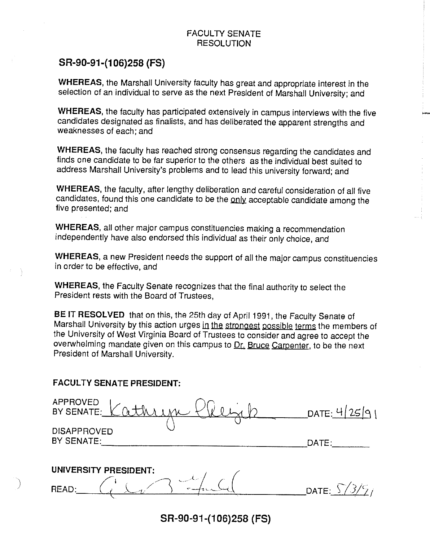### FACULTY SENATE RESOLUTION

## **SR-90-91-{106)258 {FS)**

**WHEREAS,** the Marshall University faculty has great and appropriate interest in the selection of an individual to serve as the next President of Marshall University; and

**WHEREAS,** the faculty has participated extensively in campus interviews with the five candidates designated as finalists, and has deliberated the apparent strengths and weaknesses of each; and

-<br>|<br>|<br>|

**WHEREAS,** the faculty has reached strong consensus regarding the candidates and finds one candidate to be far superior to the others as the individual best suited to address Marshall University's problems and to lead this university forward; and

**WHEREAS,** the faculty, after lengthy deliberation and careful consideration of all five candidates, found this one candidate to be the only acceptable candidate among the five presented; and

**WHEREAS,** all other major campus constituencies making a recommendation independently have also endorsed this individual as their only choice, and

**WHEREAS,** a new President needs the support of all the major campus constituencies in order to be effective, and

**WHEREAS,** the Faculty Senate recognizes that the final authority to select the President rests with the Board of Trustees,

**BE IT RESOLVED** that on this, the 25th day of April 1991, the Faculty Senate of Marshall University by this action urges in the strongest possible terms the members of the University of West Virginia Board of Trustees to consider and agree to accept the overwhelming mandate given on this campus to Dr. Bruce Carpenter, to be the next President of Marshall University.

#### **FACULTY SENATE PRESIDENT:**

)

| APPROVED<br>BY SENATE:           | DATE: $4/25/9$ |
|----------------------------------|----------------|
| <b>DISAPPROVED</b><br>BY SENATE: | DATE:          |
| UNIVERSITY PRESIDENT:            |                |
| بترام مدرسات<br>READ:            | DATE:          |
|                                  |                |

**SR-90-91-{106)258 {FS)**